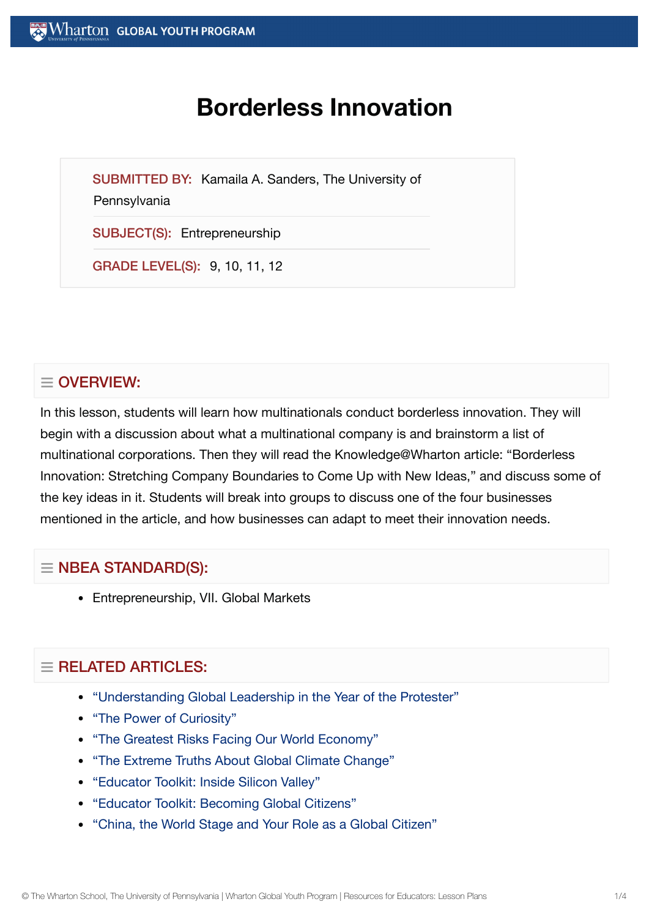# **Borderless Innovation**

SUBMITTED BY: Kamaila A. Sanders, The University of

**Pennsylvania** 

SUBJECT(S): Entrepreneurship

GRADE LEVEL(S): 9, 10, 11, 12

# $\equiv$  OVERVIEW:

In this lesson, students will learn how multinationals conduct borderless innovation. They will begin with a discussion about what a multinational company is and brainstorm a list of multinational corporations. Then they will read the Knowledge@Wharton article: "Borderless Innovation: Stretching Company Boundaries to Come Up with New Ideas," and discuss some of the key ideas in it. Students will break into groups to discuss one of the four businesses mentioned in the article, and how businesses can adapt to meet their innovation needs.

## $\equiv$  NBEA STANDARD(S):

Entrepreneurship, VII. Global Markets

## $=$  RELATED ARTICLES:

- ["Understanding](https://globalyouth.wharton.upenn.edu/articles/understanding-global-leadership-in-the-year-of-the-protester/) Global Leadership in the Year of the Protester"
- "The Power of [Curiosity"](https://globalyouth.wharton.upenn.edu/articles/the-power-of-curiosity/)
- "The Greatest [Risks Facing](https://globalyouth.wharton.upenn.edu/articles/greatest-risks-facing-world-economy/) Our World Economy"
- "The Extreme [Truths About](https://globalyouth.wharton.upenn.edu/articles/global-climate-change/) Global Climate Change"
- ["Educator](https://globalyouth.wharton.upenn.edu/articles/october-2017-inside-silicon-valley/) Toolkit: Inside Silicon Valley"
- "Educator Toolkit: [Becoming](https://globalyouth.wharton.upenn.edu/articles/august-2017-becoming-global-citizens/) Global Citizens"
- "China, the World Stage and Your Role as a Global [Citizen"](https://globalyouth.wharton.upenn.edu/articles/china-the-world-stage-and-your-role-as-a-global-citizen/)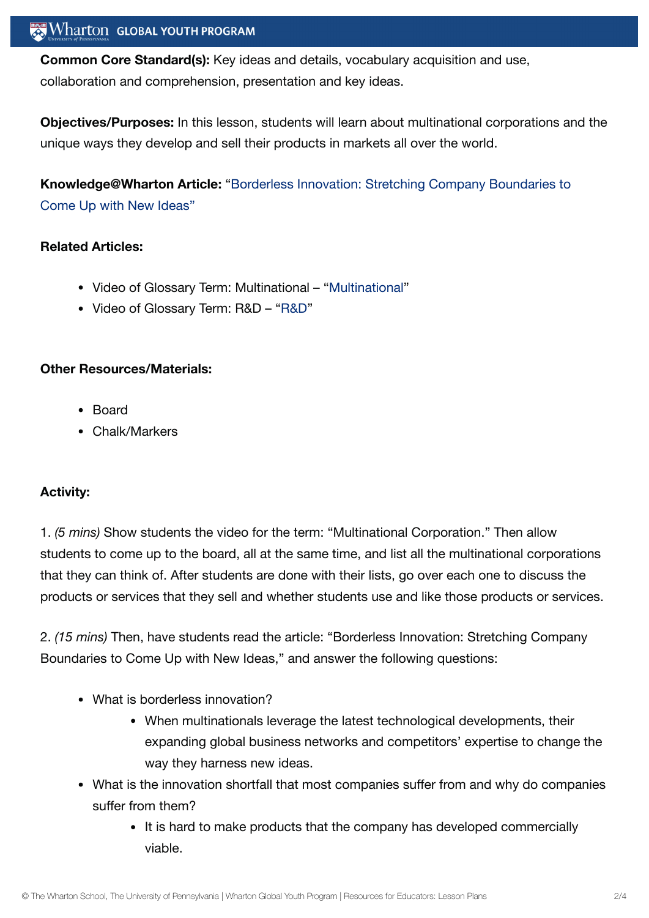## $\operatorname{Wharton}\nolimits$  global youth program

**Common Core Standard(s):** Key ideas and details, vocabulary acquisition and use, collaboration and comprehension, presentation and key ideas.

**Objectives/Purposes:** In this lesson, students will learn about multinational corporations and the unique ways they develop and sell their products in markets all over the world.

**Knowledge@Wharton Article:** "Borderless Innovation: Stretching [Company Boundaries to](http://knowledge.wharton.upenn.edu/article.cfm?articleid=2435) Come Up with New Ideas"

#### **Related Articles:**

- Video of Glossary Term: Multinational "[Multinational](https://globalyouth.wharton.upenn.edu/glossary/multinational/)"
- Video of Glossary Term: R&D ["R&D"](https://globalyouth.wharton.upenn.edu/glossary/rd/)

#### **Other Resources/Materials:**

- Board
- Chalk/Markers

#### **Activity:**

1. *(5 mins)* Show students the video for the term: "Multinational Corporation." Then allow students to come up to the board, all at the same time, and list all the multinational corporations that they can think of. After students are done with their lists, go over each one to discuss the products or services that they sell and whether students use and like those products or services.

2. *(15 mins)* Then, have students read the article: "Borderless Innovation: Stretching Company Boundaries to Come Up with New Ideas," and answer the following questions:

- What is borderless innovation?
	- When multinationals leverage the latest technological developments, their expanding global business networks and competitors' expertise to change the way they harness new ideas.
- What is the innovation shortfall that most companies suffer from and why do companies suffer from them?
	- It is hard to make products that the company has developed commercially viable.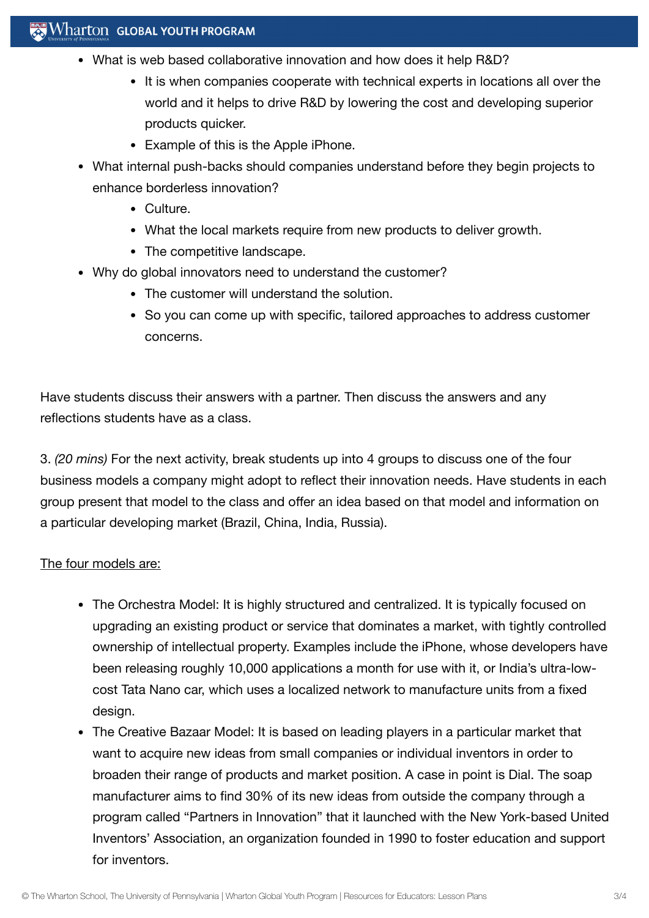### $\mathbb{R}$  Wharton Global Youth Program

- What is web based collaborative innovation and how does it help R&D?
	- It is when companies cooperate with technical experts in locations all over the world and it helps to drive R&D by lowering the cost and developing superior products quicker.
	- Example of this is the Apple iPhone.
- What internal push-backs should companies understand before they begin projects to enhance borderless innovation?
	- Culture.
	- What the local markets require from new products to deliver growth.
	- The competitive landscape.
- Why do global innovators need to understand the customer?
	- The customer will understand the solution.
	- So you can come up with specific, tailored approaches to address customer concerns.

Have students discuss their answers with a partner. Then discuss the answers and any reflections students have as a class.

3. *(20 mins)* For the next activity, break students up into 4 groups to discuss one of the four business models a company might adopt to reflect their innovation needs. Have students in each group present that model to the class and offer an idea based on that model and information on a particular developing market (Brazil, China, India, Russia).

#### The four models are:

- The Orchestra Model: It is highly structured and centralized. It is typically focused on upgrading an existing product or service that dominates a market, with tightly controlled ownership of intellectual property. Examples include the iPhone, whose developers have been releasing roughly 10,000 applications a month for use with it, or India's ultra-lowcost Tata Nano car, which uses a localized network to manufacture units from a fixed design.
- The Creative Bazaar Model: It is based on leading players in a particular market that want to acquire new ideas from small companies or individual inventors in order to broaden their range of products and market position. A case in point is Dial. The soap manufacturer aims to find 30% of its new ideas from outside the company through a program called "Partners in Innovation" that it launched with the New York-based United Inventors' Association, an organization founded in 1990 to foster education and support for inventors.